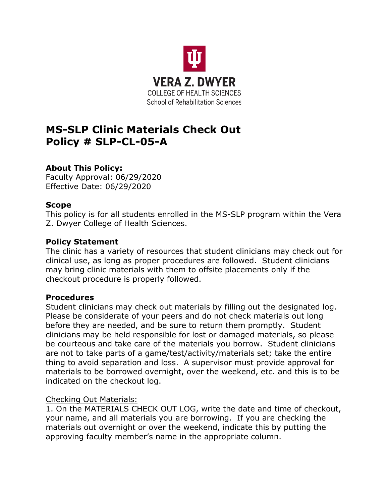

# **MS-SLP Clinic Materials Check Out Policy # SLP-CL-05-A**

# **About This Policy:**

Faculty Approval: 06/29/2020 Effective Date: 06/29/2020

## **Scope**

This policy is for all students enrolled in the MS-SLP program within the Vera Z. Dwyer College of Health Sciences.

## **Policy Statement**

The clinic has a variety of resources that student clinicians may check out for clinical use, as long as proper procedures are followed. Student clinicians may bring clinic materials with them to offsite placements only if the checkout procedure is properly followed.

#### **Procedures**

Student clinicians may check out materials by filling out the designated log. Please be considerate of your peers and do not check materials out long before they are needed, and be sure to return them promptly. Student clinicians may be held responsible for lost or damaged materials, so please be courteous and take care of the materials you borrow. Student clinicians are not to take parts of a game/test/activity/materials set; take the entire thing to avoid separation and loss. A supervisor must provide approval for materials to be borrowed overnight, over the weekend, etc. and this is to be indicated on the checkout log.

#### Checking Out Materials:

1. On the MATERIALS CHECK OUT LOG, write the date and time of checkout, your name, and all materials you are borrowing. If you are checking the materials out overnight or over the weekend, indicate this by putting the approving faculty member's name in the appropriate column.